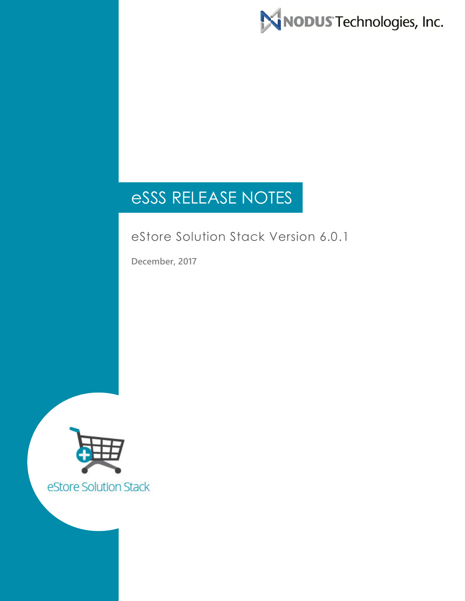MNODUS Technologies, Inc.

# eSSS RELEASE NOTES

### eStore Solution Stack Version 6.0.1

**December, 2017**

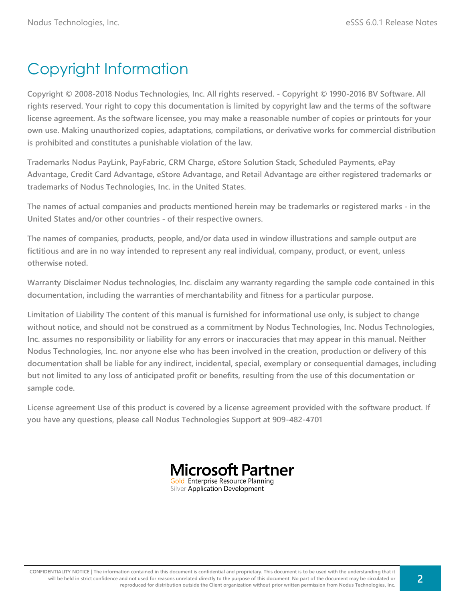# Copyright Information

**Copyright © 2008-2018 Nodus Technologies, Inc. All rights reserved. - Copyright © 1990-2016 BV Software. All rights reserved. Your right to copy this documentation is limited by copyright law and the terms of the software license agreement. As the software licensee, you may make a reasonable number of copies or printouts for your own use. Making unauthorized copies, adaptations, compilations, or derivative works for commercial distribution is prohibited and constitutes a punishable violation of the law.**

**Trademarks Nodus PayLink, PayFabric, CRM Charge, eStore Solution Stack, Scheduled Payments, ePay Advantage, Credit Card Advantage, eStore Advantage, and Retail Advantage are either registered trademarks or trademarks of Nodus Technologies, Inc. in the United States.**

**The names of actual companies and products mentioned herein may be trademarks or registered marks - in the United States and/or other countries - of their respective owners.**

**The names of companies, products, people, and/or data used in window illustrations and sample output are fictitious and are in no way intended to represent any real individual, company, product, or event, unless otherwise noted.**

**Warranty Disclaimer Nodus technologies, Inc. disclaim any warranty regarding the sample code contained in this documentation, including the warranties of merchantability and fitness for a particular purpose.**

**Limitation of Liability The content of this manual is furnished for informational use only, is subject to change without notice, and should not be construed as a commitment by Nodus Technologies, Inc. Nodus Technologies, Inc. assumes no responsibility or liability for any errors or inaccuracies that may appear in this manual. Neither Nodus Technologies, Inc. nor anyone else who has been involved in the creation, production or delivery of this documentation shall be liable for any indirect, incidental, special, exemplary or consequential damages, including but not limited to any loss of anticipated profit or benefits, resulting from the use of this documentation or sample code.**

**License agreement Use of this product is covered by a license agreement provided with the software product. If you have any questions, please call Nodus Technologies Support at 909-482-4701**



Silver Application Development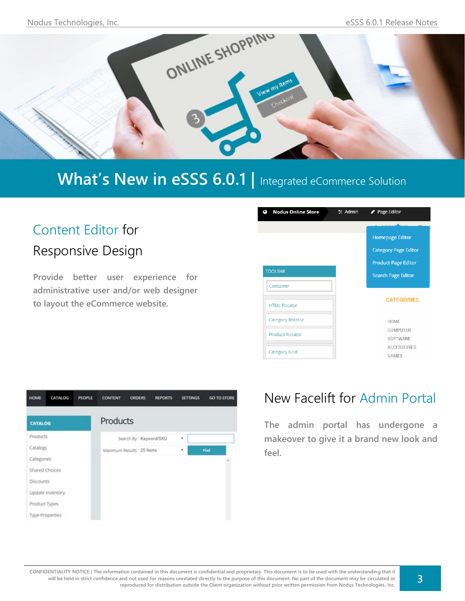

# **What's New in eSSS 6.0.1 |** Integrated eCommerce Solution

## Content Editor for

Responsive Design

**Provide better user experience for administrative user and/or web designer to layout the eCommerce website.** 

| <b>Nodus Online Store</b><br>Q | $\equiv$ Admin | ✔ Page Editor               |
|--------------------------------|----------------|-----------------------------|
|                                |                |                             |
|                                |                | <b>Homepage Editor</b>      |
|                                |                | <b>Category Page Editor</b> |
|                                |                | <b>Product Page Editor</b>  |
| <b>TOOLBAR</b>                 |                | <b>Search Page Editor</b>   |
| Container                      |                |                             |
| <b>HTML Rotator</b>            |                | <b>CATEGORIES</b>           |
| <b>Category Rotator</b>        |                | HOME                        |
| <b>Product Rotator</b>         |                | COMPUTER                    |
|                                |                | SOFTWARE                    |
| <b>Category Grid</b>           |                | <b>ACCESSORIES</b>          |
|                                |                | GAMES                       |



#### New Facelift for Admin Portal

**The admin portal has undergone a makeover to give it a brand new look and feel.**

**CONFIDENTIALITY NOTICE | The information contained in this document is confidential and proprietary. This document is to be used with the understanding that it will be held in strict confidence and not used for reasons unrelated directly to the purpose of this document. No part of the document may be circulated or reproduced for distribution outside the Client organization without prior written permission from Nodus Technologies, Inc.**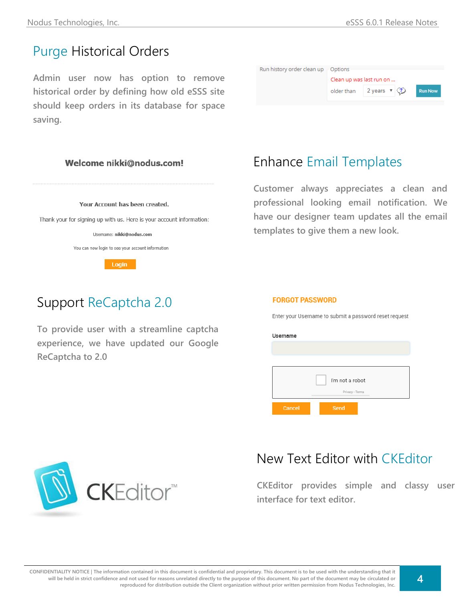#### Purge Historical Orders

**Admin user now has option to remove historical order by defining how old eSSS site should keep orders in its database for space saving.** 

| Run history order clean $up$ $\sim$ Options |                                              |  |                |
|---------------------------------------------|----------------------------------------------|--|----------------|
|                                             | Clean up was last run on                     |  |                |
|                                             | older than 2 years $\mathbf{v}$ $\mathbf{Q}$ |  | <b>Run Now</b> |
|                                             |                                              |  |                |

Welcome nikki@nodus.com! Your Account has been created. Thank your for signing up with us. Here is your account information: Username: nikki@nodus.com You can now login to see your account information Login

## Support ReCaptcha 2.0

**To provide user with a streamline captcha experience, we have updated our Google ReCaptcha to 2.0** 

#### Enhance Email Templates

**Customer always appreciates a clean and professional looking email notification. We have our designer team updates all the email templates to give them a new look.** 

#### **FORGOT PASSWORD**

Enter your Username to submit a password reset request

| Username                           |             |  |  |  |
|------------------------------------|-------------|--|--|--|
|                                    |             |  |  |  |
|                                    |             |  |  |  |
| I'm not a robot<br>Privacy - Terms |             |  |  |  |
|                                    |             |  |  |  |
| Cancel                             | <b>Send</b> |  |  |  |



#### New Text Editor with CKEditor

**CKEditor provides simple and classy user interface for text editor.**